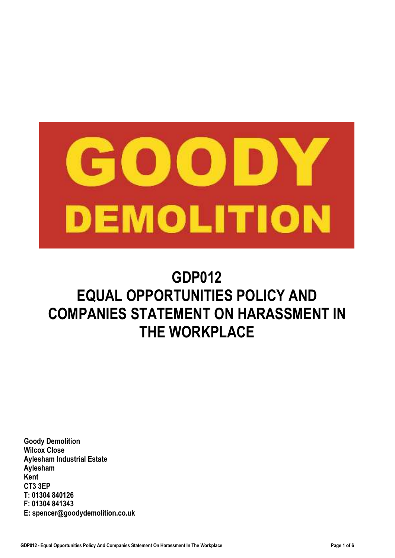

# **GDP012 EQUAL OPPORTUNITIES POLICY AND COMPANIES STATEMENT ON HARASSMENT IN THE WORKPLACE**

**Goody Demolition Wilcox Close Aylesham Industrial Estate Aylesham Kent CT3 3EP T: 01304 840126 F: 01304 841343 E: spencer@goodydemolition.co.uk**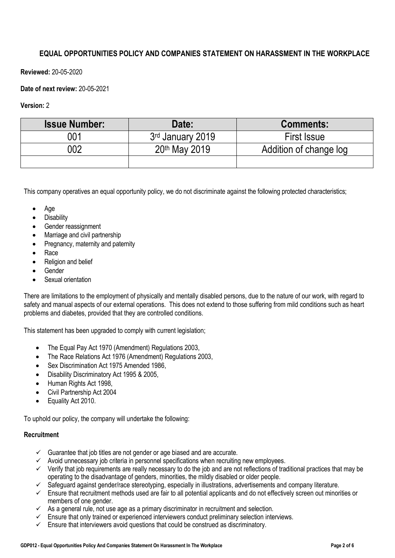## **EQUAL OPPORTUNITIES POLICY AND COMPANIES STATEMENT ON HARASSMENT IN THE WORKPLACE**

**Reviewed:** 20-05-2020

## **Date of next review:** 20-05-2021

## **Version:** 2

| <b>Issue Number:</b> | Date:                        | <b>Comments:</b>       |
|----------------------|------------------------------|------------------------|
| 001                  | 3 <sup>rd</sup> January 2019 | <b>First Issue</b>     |
| 002                  | 20th May 2019                | Addition of change log |
|                      |                              |                        |

This company operatives an equal opportunity policy, we do not discriminate against the following protected characteristics;

- Age
- **Disability**
- Gender reassignment
- Marriage and civil partnership
- Pregnancy, maternity and paternity
- Race
- Religion and belief
- Gender
- Sexual orientation

There are limitations to the employment of physically and mentally disabled persons, due to the nature of our work, with regard to safety and manual aspects of our external operations. This does not extend to those suffering from mild conditions such as heart problems and diabetes, provided that they are controlled conditions.

This statement has been upgraded to comply with current legislation;

- The Equal Pay Act 1970 (Amendment) Regulations 2003,
- The Race Relations Act 1976 (Amendment) Regulations 2003,
- Sex Discrimination Act 1975 Amended 1986,
- Disability Discriminatory Act 1995 & 2005,
- Human Rights Act 1998,
- Civil Partnership Act 2004
- Equality Act 2010.

To uphold our policy, the company will undertake the following:

## **Recruitment**

- $\checkmark$  Guarantee that job titles are not gender or age biased and are accurate.
- $\checkmark$  Avoid unnecessary job criteria in personnel specifications when recruiting new employees.
- $\checkmark$  Verify that job requirements are really necessary to do the job and are not reflections of traditional practices that may be operating to the disadvantage of genders, minorities, the mildly disabled or older people.
- $\checkmark$  Safeguard against gender/race stereotyping, especially in illustrations, advertisements and company literature.
- $\checkmark$  Ensure that recruitment methods used are fair to all potential applicants and do not effectively screen out minorities or members of one gender.
- $\checkmark$  As a general rule, not use age as a primary discriminator in recruitment and selection.
- $\checkmark$  Ensure that only trained or experienced interviewers conduct preliminary selection interviews.
- $\checkmark$  Ensure that interviewers avoid questions that could be construed as discriminatory.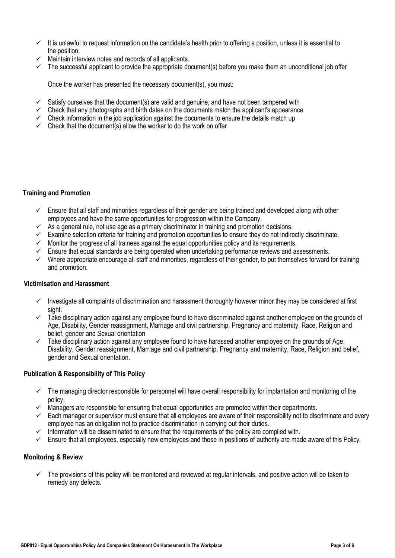- $\checkmark$  It is unlawful to request information on the candidate's health prior to offering a position, unless it is essential to the position.
- $\checkmark$  Maintain interview notes and records of all applicants.
- $\checkmark$  The successful applicant to provide the appropriate document(s) before you make them an unconditional job offer

Once the worker has presented the necessary document(s), you must:

- $\checkmark$  Satisfy ourselves that the document(s) are valid and genuine, and have not been tampered with
- $\checkmark$  Check that any photographs and birth dates on the documents match the applicant's appearance
- $\checkmark$  Check information in the job application against the documents to ensure the details match up
- $\checkmark$  Check that the document(s) allow the worker to do the work on offer

## **Training and Promotion**

- $\checkmark$  Ensure that all staff and minorities regardless of their gender are being trained and developed along with other employees and have the same opportunities for progression within the Company.
- $\checkmark$  As a general rule, not use age as a primary discriminator in training and promotion decisions.
- $\checkmark$  Examine selection criteria for training and promotion opportunities to ensure they do not indirectly discriminate.
- $\checkmark$  Monitor the progress of all trainees against the equal opportunities policy and its requirements.
- $\checkmark$  Ensure that equal standards are being operated when undertaking performance reviews and assessments.
- $\checkmark$  Where appropriate encourage all staff and minorities, regardless of their gender, to put themselves forward for training and promotion.

## **Victimisation and Harassment**

- $\checkmark$  Investigate all complaints of discrimination and harassment thoroughly however minor they may be considered at first sight.
- $\checkmark$  Take disciplinary action against any employee found to have discriminated against another employee on the grounds of Age, Disability, Gender reassignment, Marriage and civil partnership, Pregnancy and maternity, Race, Religion and belief, gender and Sexual orientation
- $\checkmark$  Take disciplinary action against any employee found to have harassed another employee on the grounds of Age, Disability, Gender reassignment, Marriage and civil partnership, Pregnancy and maternity, Race, Religion and belief, gender and Sexual orientation.

## **Publication & Responsibility of This Policy**

- $\checkmark$  The managing director responsible for personnel will have overall responsibility for implantation and monitoring of the policy.
- $\checkmark$  Managers are responsible for ensuring that equal opportunities are promoted within their departments.
- $\checkmark$  Each manager or supervisor must ensure that all employees are aware of their responsibility not to discriminate and every employee has an obligation not to practice discrimination in carrying out their duties.
- $\checkmark$  Information will be disseminated to ensure that the requirements of the policy are complied with.
- $\checkmark$  Ensure that all employees, especially new employees and those in positions of authority are made aware of this Policy.

## **Monitoring & Review**

 The provisions of this policy will be monitored and reviewed at regular intervals, and positive action will be taken to remedy any defects.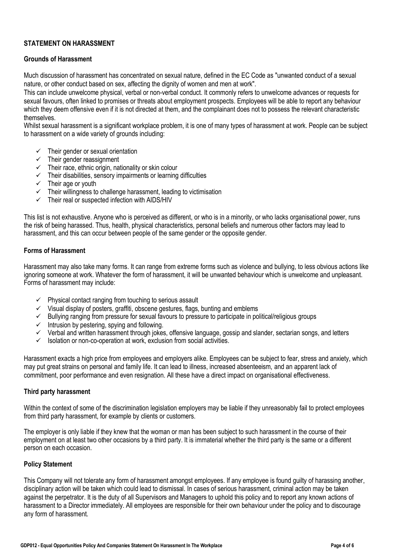## **STATEMENT ON HARASSMENT**

## **Grounds of Harassment**

Much discussion of harassment has concentrated on sexual nature, defined in the EC Code as "unwanted conduct of a sexual nature, or other conduct based on sex, affecting the dignity of women and men at work".

This can include unwelcome physical, verbal or non-verbal conduct. It commonly refers to unwelcome advances or requests for sexual favours, often linked to promises or threats about employment prospects. Employees will be able to report any behaviour which they deem offensive even if it is not directed at them, and the complainant does not to possess the relevant characteristic **themselves** 

Whilst sexual harassment is a significant workplace problem, it is one of many types of harassment at work. People can be subject to harassment on a wide variety of grounds including:

- $\checkmark$  Their gender or sexual orientation
- $\checkmark$  Their gender reassignment
- $\checkmark$  Their race, ethnic origin, nationality or skin colour
- $\checkmark$  Their disabilities, sensory impairments or learning difficulties
- $\checkmark$  Their age or youth
- $\checkmark$  Their willingness to challenge harassment, leading to victimisation
- $\checkmark$  Their real or suspected infection with AIDS/HIV

This list is not exhaustive. Anyone who is perceived as different, or who is in a minority, or who lacks organisational power, runs the risk of being harassed. Thus, health, physical characteristics, personal beliefs and numerous other factors may lead to harassment, and this can occur between people of the same gender or the opposite gender.

## **Forms of Harassment**

Harassment may also take many forms. It can range from extreme forms such as violence and bullying, to less obvious actions like ignoring someone at work. Whatever the form of harassment, it will be unwanted behaviour which is unwelcome and unpleasant. Forms of harassment may include:

- $\checkmark$  Physical contact ranging from touching to serious assault
- $\checkmark$  Visual display of posters, graffiti, obscene gestures, flags, bunting and emblems
- $\checkmark$  Bullying ranging from pressure for sexual favours to pressure to participate in political/religious groups
- $\checkmark$  Intrusion by pestering, spying and following.
- $\checkmark$  Verbal and written harassment through jokes, offensive language, gossip and slander, sectarian songs, and letters
- $\checkmark$  Isolation or non-co-operation at work, exclusion from social activities.

Harassment exacts a high price from employees and employers alike. Employees can be subject to fear, stress and anxiety, which may put great strains on personal and family life. It can lead to illness, increased absenteeism, and an apparent lack of commitment, poor performance and even resignation. All these have a direct impact on organisational effectiveness.

## **Third party harassment**

Within the context of some of the discrimination legislation employers may be liable if they unreasonably fail to protect employees from third party harassment, for example by clients or customers.

The employer is only liable if they knew that the woman or man has been subject to such harassment in the course of their employment on at least two other occasions by a third party. It is immaterial whether the third party is the same or a different person on each occasion.

## **Policy Statement**

This Company will not tolerate any form of harassment amongst employees. If any employee is found guilty of harassing another, disciplinary action will be taken which could lead to dismissal. In cases of serious harassment, criminal action may be taken against the perpetrator. It is the duty of all Supervisors and Managers to uphold this policy and to report any known actions of harassment to a Director immediately. All employees are responsible for their own behaviour under the policy and to discourage any form of harassment.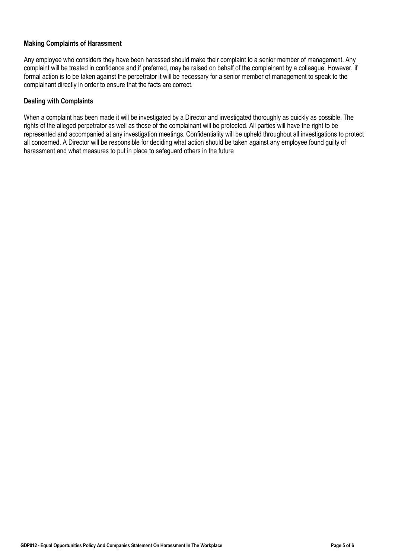## **Making Complaints of Harassment**

Any employee who considers they have been harassed should make their complaint to a senior member of management. Any complaint will be treated in confidence and if preferred, may be raised on behalf of the complainant by a colleague. However, if formal action is to be taken against the perpetrator it will be necessary for a senior member of management to speak to the complainant directly in order to ensure that the facts are correct.

## **Dealing with Complaints**

When a complaint has been made it will be investigated by a Director and investigated thoroughly as quickly as possible. The rights of the alleged perpetrator as well as those of the complainant will be protected. All parties will have the right to be represented and accompanied at any investigation meetings. Confidentiality will be upheld throughout all investigations to protect all concerned. A Director will be responsible for deciding what action should be taken against any employee found guilty of harassment and what measures to put in place to safeguard others in the future